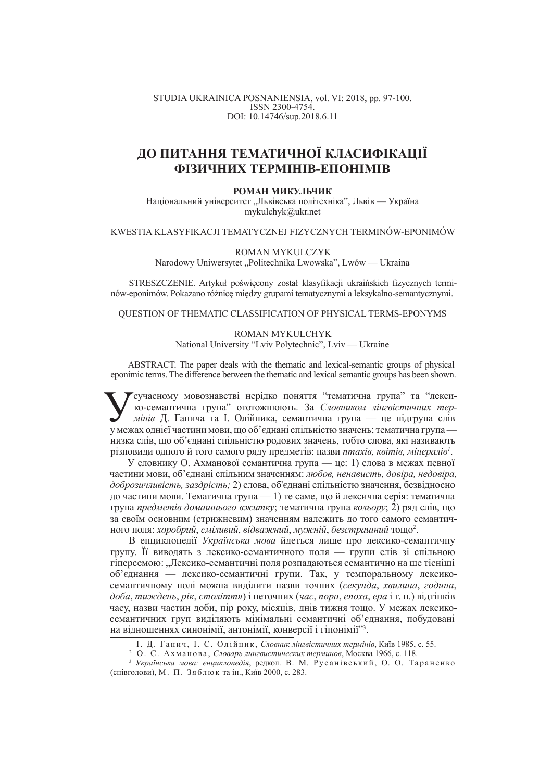#### STUDIA UKRAINICA POSNANIENSIA, vol. VI: 2018, pp. 97-100. ISSN 2300-4754. DOI: 10.14746/sup.2018.6.11

# ДО ПИТАННЯ ТЕМАТИЧНОЇ КЛАСИФІКАЦІЇ **ФІЗИЧНИХ ТЕРМІНІВ-ЕПОНІМІВ**

#### **РОМАН МИКУЛЬЧИК**

Національний університет "Львівська політехніка", Львів — Україна mykulchyk@ukr.net

### KWESTIA KLASYFIKACJI TEMATYCZNEJ FIZYCZNYCH TERMINÓW-EPONIMÓW

ROMAN MYKULCZYK

Narodowy Uniwersytet "Politechnika Lwowska", Lwów — Ukraina

STRESZCZENIE. Artykuł poświęcony został klasyfikacji ukraińskich fizycznych terminów-eponimów. Pokazano różnice miedzy grupami tematycznymi a leksykalno-semantycznymi.

QUESTION OF THEMATIC CLASSIFICATION OF PHYSICAL TERMS-EPONYMS

ROMAN MYKULCHYK National University "Lviv Polytechnic", Lviv — Ukraine

ABSTRACT. The paper deals with the thematic and lexical-semantic groups of physical eponimic terms. The difference between the thematic and lexical semantic groups has been shown.

**У Сучасному мовознавстві нерідко поняття "тематична група" та "лекси-**ко-семантична група" ототожнюють. За *Словником лінгвістичних тер-*<br>у межах однієї частини мови, що об'єднані спільністю значень; тематична група — Гсучасному мовознавстві нерідко поняття "тематична група" та "лексико-семантична група" ототожнюють. За Словником лінгвістичних термінів Д. Ганича та І. Олійника, семантична група — це підгрупа слів низка слів, що об'єднані спільністю родових значень, тобто слова, які називають різновиди одного й того самого ряду предметів: назви *птахів, квітів, мінералів<sup>1</sup>.* 

У словнику О. Ахманової семантична група — це: 1) слова в межах певної частини мови, об'єднані спільним значенням: любов, ненависть, довіра, недовіра, доброзичливість, заздрість; 2) слова, об'єднані спільністю значення, безвідносно до частини мови. Тематична група — 1) те саме, що й лексична серія: тематична група *предметів домашнього вжитку*; тематична група *кольору*; 2) ряд слів, що за своїм основним (стрижневим) значенням належить до того самого семантичного поля: *хоробрий, сміливий, відважний, мужній, безстрашний* тощо<sup>2</sup>.

В енциклопедії Українська мова йдеться лише про лексико-семантичну групу. Її виводять з лексико-семантичного поля — групи слів зі спільною гіперсемою: "Лексико-семантичні поля розпадаються семантично на ще тісніші об'єднання — лексико-семантичні групи. Так, у темпоральному лексикосемантичному полі можна виділити назви точних (секунда, хвилина, година,  $\partial$ оба, тиждень, *рік, століття*) і неточних (*час, пора, епоха, ера* і т. п.) відтінків часу, назви частин доби, пір року, місяців, днів тижня тощо. У межах лексикосемантичних груп виділяють мінімальні семантичні об'єднання, побудовані на відношеннях синонімії, антонімії, конверсії і гіпонімії"<sup>3</sup>.

<sup>&</sup>lt;sup>1</sup> І. Д. Ганич, І. С. Олійник, *Словник лінгвістичних термінів*, Київ 1985, с. 55.

<sup>&</sup>lt;sup>2</sup> О. С. Ахманова, *Словарь лингвистических терминов*, Москва 1966, с. 118.

<sup>&</sup>lt;sup>3</sup> Українська мова: енциклопедія, редкол. В. М. Русанівський, О. О. Тараненко (співголови), М. П. Зяблюк та ін., Київ 2000, с. 283.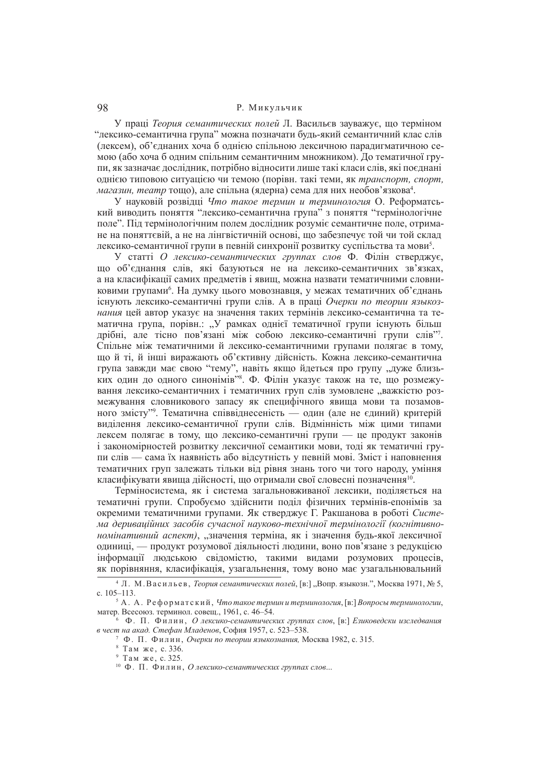## 98 Р. Микульчик

У праці Теория семантических полей Л. Васильєв зауважує, що терміном "лексико-семантична група" можна позначати будь-який семантичний клас слів (лексем), об'єднаних хоча б однією спільною лексичною парадигматичною семою (або хоча б одним спільним семантичним множником). До тематичної групи, як зазначає дослідник, потрібно відносити лише такі класи слів, які поєднані **однією типовою ситуацією чи темою (порівн. такі теми, як транспорт, спорт,** *магазин, театр* тощо), але спільна (ядерна) сема для них необов'язкова<sup>4</sup>.

У науковій розвілці *Что такое термин и терминология* О. Реформатський виводить поняття "лексико-семантична група" з поняття "термінологічне поле". Піл термінологічним полем лослілник розуміє семантичне поле, отримане на поняттєвій, а не на лінгвістичній основі, що забезпечує той чи той склал лексико-семантичної групи в певній синхронії розвитку суспільства та мови<sup>5</sup>.

У статті О лексико-семантических группах слов Ф. Філін стверджує, шо об'єлнання слів, які базуються не на лексико-семантичних зв'язках, а на класифікації самих предметів і явищ, можна назвати тематичними словниковими групами<sup>6</sup>. На думку цього мовознавця, у межах тематичних об'єднань існують лексико-семантичні групи слів. А в праці Очерки по теории языкоз*нания* цей автор указує на значення таких термінів лексико-семантична та тематична група, порівн.: "У рамках однієї тематичної групи існують більш дрібні, але тісно пов'язані між собою лексико-семантичні групи слів"7. Спільне між тематичними й лексико-семантичними групами полягає в тому. шойті, й інші виражають об'єктивну лійсність. Кожна лексико-семантична група завжди має свою "тему", навіть якщо йдеться про групу "дуже близьких один до одного синонімів" Ф. Філін указує також на те, що розмежування лексико-семантичних і тематичних груп слів зумовлене "важкістю розмежування словникового запасу як специфічного явища мови та позамовного змісту"<sup>9</sup>. Тематична співвіднесеність — один (але не єдиний) критерій вилілення лексико-семантичної групи слів. Вілмінність між цими типами лексем полягає в тому, що лексико-семантичні групи — це пролукт законів і закономірностей розвитку лексичної семантики мови, тоді як тематичні групи слів — сама їх наявність або відсутність у певній мові. Зміст і наповнення тематичних груп залежать тільки віл рівня знань того чи того народу, уміння класифікувати явища дійсності, що отримали свої словесні позначення<sup>10</sup>.

Терміносистема, як і система загальновживаної лексики, поділяється на тематичні групи. Спробуємо здійснити поділ фізичних термінів-епонімів за окремими тематичними групами. Як стверджує Г. Ракшанова в роботі Система дериваційних засобів сучасної науково-технічної термінології (когнітивно*номінативний аспект*), "значення терміна, як і значення буль-якої лексичної олиниці. — пролукт розумової ліяльності люлини, воно пов'язане з релукцією інформації людською свідомістю, такими видами розумових процесів, як порівняння, класифікація, узагальнення, тому воно має узагальнювальний

<sup>&</sup>lt;sup>4</sup> Л. М. Васильев. *Теория семантических полей*, [в:] "Вопр. языкозн.", Москва 1971, № 5, c. 105–113.

<sup>&</sup>lt;sup>5</sup> А. А. Реформатский, *Что такое термин и терминология*, [в:] *Вопросы терминологии*, матер. Всесоюз. терминол. совещ., 1961, с. 46–54.

<sup>&</sup>lt;sup>6</sup> Ф. П. Филин, *О лексико-семантических группах слов*, [в:] *Езиковедски изследвания ɜ ɱɟɫɬ ɧɚ ɚɤɚɞ. ɋɬɟɮɚɧ Ɇɥɚɞɟɧɨɜ*, ɋɨɮɢɹ 1957, ɫ. 523–538.

<sup>&</sup>lt;sup>7</sup> Ф. П. Филин, *Очерки по теории языкознания*, Москва 1982, с. 315.

<sup>&</sup>lt;sup>8</sup> Там же, с. 336.

 $^9$  Там же, с. 325.

<sup>&</sup>lt;sup>10</sup> Ф. П. Филин, *О лексико-семантических группах слов*...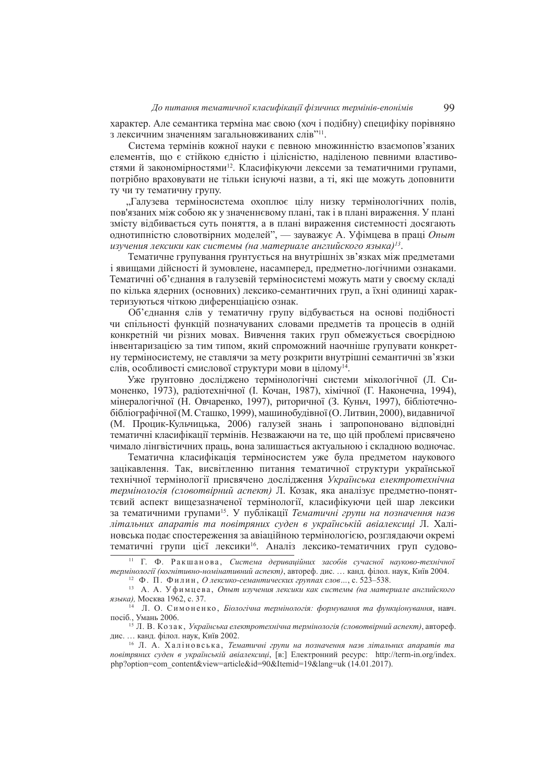характер. Але семантика терміна має свою (хоч і подібну) специфіку порівняно з лексичним значенням загальновживаних слів"<sup>11</sup>.

Система термінів кожної науки є певною множинністю взаємопов'язаних елементів, що є стійкою єдністю і цілісністю, наділеною певними властивостями й закономірностями<sup>12</sup>. Класифікуючи лексеми за тематичними групами, потрібно враховувати не тільки існуючі назви, а ті, які ще можуть доповнити ту чи ту тематичну групу.

"Галузева терміносистема охоплює цілу низку термінологічних полів, пов'язаних між собою як у значеннєвому плані, так і в плані вираження. У плані змісту вілбивається суть поняття, а в плані вираження системності лосягають однотипністю словотвірних моделей", — зауважує А. Уфімцева в праці Опыт *ɢɡɭɱɟɧɢɹ ɥɟɤɫɢɤɢ ɤɚɤ ɫɢɫɬɟɦɵ (ɧɚ ɦɚɬɟɪɢɚɥɟ ɚɧɝɥɢɣɫɤɨɝɨ ɹɡɵɤɚ) 13* .

Тематичне групування ґрунтується на внутрішніх зв'язках між предметами і явищами дійсності й зумовлене, насамперед, предметно-логічними ознаками. Тематичні об'єднання в галузевій терміносистемі можуть мати у своєму складі по кілька ялерних (основних) лексико-семантичних груп, а їхні олиниці характеризуються чіткою лиференціацією ознак.

Об'єднання слів у тематичну групу відбувається на основі подібності чи спільності функцій позначуваних словами предметів та процесів в одній конкретній чи різних мовах. Вивчення таких груп обмежується своєрідною інвентаризацією за тим типом, який спроможний наочніше групувати конкретну терміносистему, не ставлячи за мету розкрити внутрішні семантичні зв'язки слів, особливості смислової структури мови в цілому<sup>14</sup>.

Уже грунтовно досліджено термінологічні системи мікологічної (Л. Симоненко, 1973), радіотехнічної (І. Кочан, 1987), хімічної (Г. Наконечна, 1994), мінералогічної (Н. Овчаренко, 1997), риторичної (З. Куньч, 1997), бібліотечнобібліографічної (М. Сташко, 1999), машинобудівної (О. Литвин, 2000), видавничої (М. Процик-Кульчицька, 2006) галузей знань і запропоновано вілповілні тематичні класифікації термінів. Незважаючи на те, що цій проблемі присвячено чимало лінгвістичних праць, вона залишається актуальною і складною водночас.

Тематична класифікація терміносистем уже була предметом наукового зацікавлення. Так, висвітленню питання тематичної структури української технічної термінології присвячено дослідження Українська електротехнічна термінологія (словотвірний аспект) Л. Козак, яка аналізує предметно-поняттєвий аспект вищезазначеної термінології, класифікуючи цей шар лексики за тематичними групами<sup>15</sup>. У публікації *Тематичні групи на позначення назв* дітальних апаратів та повітряних суден в українській авіалексиці Л. Халіновська полає спостереження за авіаційною термінологією, розглялаючи окремі тематичні групи цієї лексики<sup>16</sup>. Аналіз лексико-тематичних груп судово-

<sup>&</sup>lt;sup>11</sup> Г. Ф. Ракшанова, Система дериваційних засобів сучасної науково-технічної термінології (когнітивно-номінативний аспект), автореф. дис. ... канд. філол. наук, Київ 2004.

<sup>&</sup>lt;sup>12</sup> Ф. П. Филин, *О лексико-семантических группах слов...*, с. 523–538.

<sup>&</sup>lt;sup>13</sup> А. А. Уфимцева, Опыт изучения лексики как системы (на материале английского языка), Москва 1962, с. 37.

<sup>&</sup>lt;sup>14</sup> Л. О. Симоненко, *Біологічна термінологія: формування та функціонування*, навч. посіб., Умань 2006.

<sup>&</sup>lt;sup>15</sup> Л. В. Козак, Українська електротехнічна термінологія (словотвірний аспект), автореф. лис. ... канд. філол. наук. Київ 2002.

<sup>&</sup>lt;sup>16</sup> Л. А. Халіновська, Тематичні групи на позначення назв літальних апаратів та ловітряних суден в українській авіалексиці, [в:] Електронний ресурс: http://term-in.org/index. php?option=com\_content&view=article&id=90&Itemid=19&lang=uk (14.01.2017).